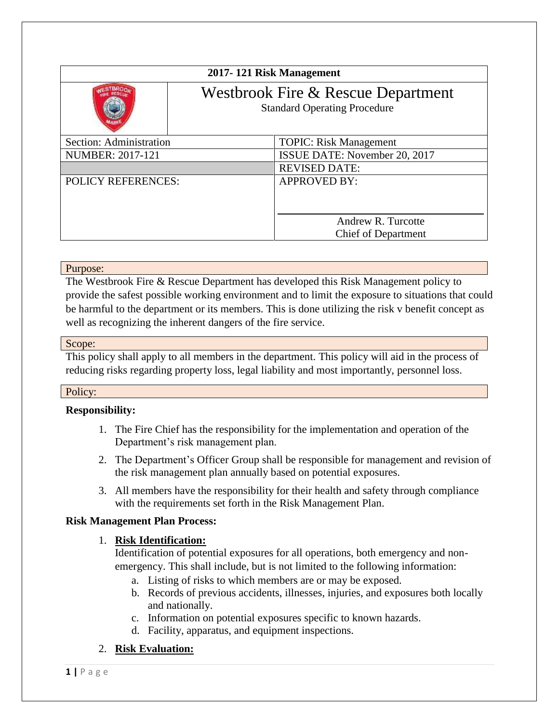| 2017-121 Risk Management                                                  |                                                  |
|---------------------------------------------------------------------------|--------------------------------------------------|
| Westbrook Fire & Rescue Department<br><b>Standard Operating Procedure</b> |                                                  |
| Section: Administration                                                   | <b>TOPIC: Risk Management</b>                    |
| <b>NUMBER: 2017-121</b>                                                   | ISSUE DATE: November 20, 2017                    |
|                                                                           | <b>REVISED DATE:</b>                             |
| <b>POLICY REFERENCES:</b>                                                 | <b>APPROVED BY:</b>                              |
|                                                                           | Andrew R. Turcotte<br><b>Chief of Department</b> |

### Purpose:

The Westbrook Fire & Rescue Department has developed this Risk Management policy to provide the safest possible working environment and to limit the exposure to situations that could be harmful to the department or its members. This is done utilizing the risk v benefit concept as well as recognizing the inherent dangers of the fire service.

### Scope:

This policy shall apply to all members in the department. This policy will aid in the process of reducing risks regarding property loss, legal liability and most importantly, personnel loss.

### Policy:

# **Responsibility:**

- 1. The Fire Chief has the responsibility for the implementation and operation of the Department's risk management plan.
- 2. The Department's Officer Group shall be responsible for management and revision of the risk management plan annually based on potential exposures.
- 3. All members have the responsibility for their health and safety through compliance with the requirements set forth in the Risk Management Plan.

### **Risk Management Plan Process:**

# 1. **Risk Identification:**

Identification of potential exposures for all operations, both emergency and nonemergency. This shall include, but is not limited to the following information:

- a. Listing of risks to which members are or may be exposed.
- b. Records of previous accidents, illnesses, injuries, and exposures both locally and nationally.
- c. Information on potential exposures specific to known hazards.
- d. Facility, apparatus, and equipment inspections.

# 2. **Risk Evaluation:**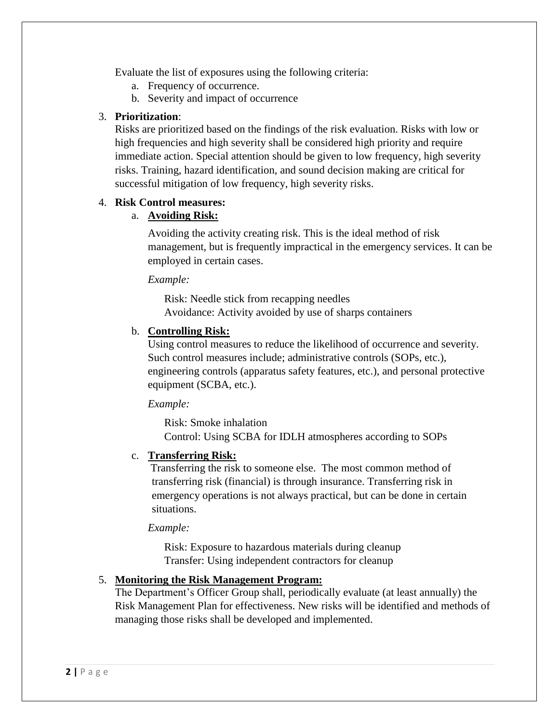Evaluate the list of exposures using the following criteria:

- a. Frequency of occurrence.
- b. Severity and impact of occurrence

### 3. **Prioritization**:

Risks are prioritized based on the findings of the risk evaluation. Risks with low or high frequencies and high severity shall be considered high priority and require immediate action. Special attention should be given to low frequency, high severity risks. Training, hazard identification, and sound decision making are critical for successful mitigation of low frequency, high severity risks.

### 4. **Risk Control measures:**

### a. **Avoiding Risk:**

Avoiding the activity creating risk. This is the ideal method of risk management, but is frequently impractical in the emergency services. It can be employed in certain cases.

*Example:*

Risk: Needle stick from recapping needles Avoidance: Activity avoided by use of sharps containers

### b. **Controlling Risk:**

Using control measures to reduce the likelihood of occurrence and severity. Such control measures include; administrative controls (SOPs, etc.), engineering controls (apparatus safety features, etc.), and personal protective equipment (SCBA, etc.).

*Example:*

Risk: Smoke inhalation Control: Using SCBA for IDLH atmospheres according to SOPs

### c. **Transferring Risk:**

Transferring the risk to someone else. The most common method of transferring risk (financial) is through insurance. Transferring risk in emergency operations is not always practical, but can be done in certain situations.

#### *Example:*

Risk: Exposure to hazardous materials during cleanup Transfer: Using independent contractors for cleanup

# 5. **Monitoring the Risk Management Program:**

The Department's Officer Group shall, periodically evaluate (at least annually) the Risk Management Plan for effectiveness. New risks will be identified and methods of managing those risks shall be developed and implemented.